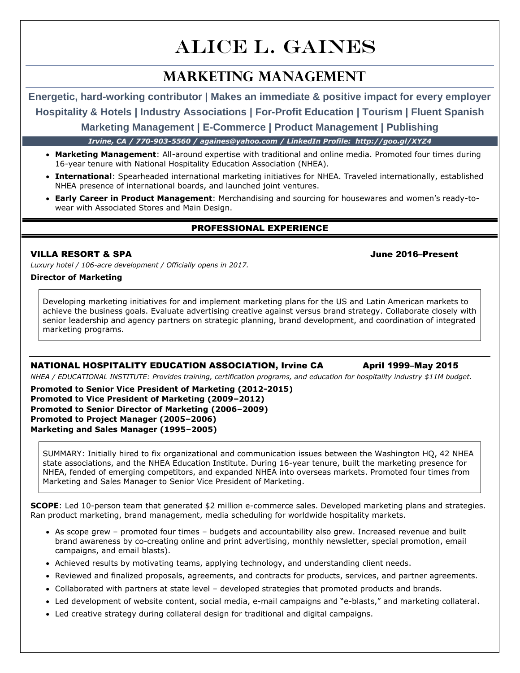# **ALICE L. GAINES**

## **Marketing MANAGEMENT**

**Energetic, hard-working contributor | Makes an immediate & positive impact for every employer Hospitality & Hotels | Industry Associations | For-Profit Education | Tourism | Fluent Spanish**

**Marketing Management | E-Commerce | Product Management | Publishing** 

*Irvine, CA / 770-903-5560 / againes@yahoo.com / LinkedIn Profile: http://goo.gl/XYZ4*

- **Marketing Management**: All-around expertise with traditional and online media. Promoted four times during 16-year tenure with National Hospitality Education Association (NHEA).
- **International**: Spearheaded international marketing initiatives for NHEA. Traveled internationally, established NHEA presence of international boards, and launched joint ventures.
- **Early Career in Product Management**: Merchandising and sourcing for housewares and women's ready-towear with Associated Stores and Main Design.

### PROFESSIONAL EXPERIENCE

#### VILLA RESORT & SPA June 2016–Present

*Luxury hotel / 106-acre development / Officially opens in 2017.*

#### **Director of Marketing**

Developing marketing initiatives for and implement marketing plans for the US and Latin American markets to achieve the business goals. Evaluate advertising creative against versus brand strategy. Collaborate closely with senior leadership and agency partners on strategic planning, brand development, and coordination of integrated marketing programs.

#### NATIONAL HOSPITALITY EDUCATION ASSOCIATION, Irvine CA April 1999–May 2015

*NHEA / EDUCATIONAL INSTITUTE: Provides training, certification programs, and education for hospitality industry \$11M budget.* 

**Promoted to Senior Vice President of Marketing (2012-2015) Promoted to Vice President of Marketing (2009–2012) Promoted to Senior Director of Marketing (2006–2009) Promoted to Project Manager (2005–2006) Marketing and Sales Manager (1995–2005)**

SUMMARY: Initially hired to fix organizational and communication issues between the Washington HQ, 42 NHEA state associations, and the NHEA Education Institute. During 16-year tenure, built the marketing presence for NHEA, fended of emerging competitors, and expanded NHEA into overseas markets. Promoted four times from Marketing and Sales Manager to Senior Vice President of Marketing.

**SCOPE**: Led 10-person team that generated \$2 million e-commerce sales. Developed marketing plans and strategies. Ran product marketing, brand management, media scheduling for worldwide hospitality markets.

- As scope grew promoted four times budgets and accountability also grew. Increased revenue and built brand awareness by co-creating online and print advertising, monthly newsletter, special promotion, email campaigns, and email blasts).
- Achieved results by motivating teams, applying technology, and understanding client needs.
- Reviewed and finalized proposals, agreements, and contracts for products, services, and partner agreements.
- Collaborated with partners at state level developed strategies that promoted products and brands.
- Led development of website content, social media, e-mail campaigns and "e-blasts," and marketing collateral.
- Led creative strategy during collateral design for traditional and digital campaigns.